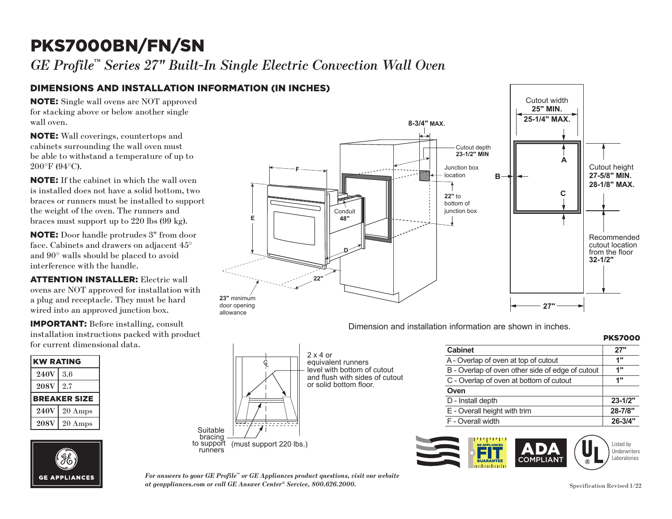# PKS7000BN/FN/SN **F**

 $GE$  Profile<sup>™</sup> Series 27" Built-In Single Electric Convection Wall Oven

### DIMENSIONS AND INSTALLATION INFORMATION (IN INCHES)

 $\mathbf{I}$ upprove<br>Co for stacking above or below another single NOTE: Single wall ovens are NOT approved wall oven.

**D** be able to withstand a temperature of up to NOTE: Wall coverings, countertops and cabinets surrounding the wall oven must 200°F (94°C).

**22"** is installed does not have a solid bottom, two the weight of the oven. The runners and braces must support up to 220 lbs (99 kg). NOTE: If the cabinet in which the wall oven braces or runners must be installed to support

NOTE: Door handle protrudes 3" from door face. Cabinets and drawers on adjacent 45° and 90° walls should be placed to avoid interference with the handle.

**ATTENTION INSTALLER:** Electric wall ovens are NOT approved for installation with wired into an approved junction box.  $\overline{\phantom{a}}$ a plug and receptacle. They must be hard

ent value value value value value value value value value value value value value value value value value valu<br>En la value value value value value value value value value value value value value value value value value va onsult  ${\tt installation}\$  instructions packed with product **IMPORTANT:** Before installing, consult for current dimensional data.

| <b>KW RATING</b> |                     |
|------------------|---------------------|
| <b>240V</b>      | 3.6                 |
| <b>208V</b>      | 2.7                 |
|                  | <b>BREAKER SIZE</b> |
| <b>240V</b>      | 20 Amps             |
| <b>208V</b>      | 20 Amps             |





Dimension and installation information are shown in inches.

| KS7000<br>РK. |  |  |
|---------------|--|--|
|               |  |  |

| Suitable<br>bracing   |                         | $2 \times 4$ or<br>equivalent i<br>level with b<br>and flush w<br>or solid bot |  |
|-----------------------|-------------------------|--------------------------------------------------------------------------------|--|
| to support<br>runners | (must support 220 lbs.) |                                                                                |  |

 $\|\cdot\|$  equivalent runners  $\overline{a}$  level with bottom of cutout  $\Box$  and flush with sides of cutout sii willi siu<del>c</del>s ui cui<br>Lhottom floor or solid bottom floor.

| <b>Cabinet</b>                                   | 27"         |
|--------------------------------------------------|-------------|
| A - Overlap of oven at top of cutout             | 1"          |
| B - Overlap of oven other side of edge of cutout | 1"          |
| C - Overlap of oven at bottom of cutout          | 1"          |
| Oven                                             |             |
| D - Install depth                                | $23 - 1/2"$ |
| E - Overall height with trim                     | 28-7/8"     |
| F - Overall width                                | $26 - 3/4"$ |
|                                                  |             |



*For answers to your GE Profile™ or GE Appliances product questions, visit our website at geappliances.com or call GE Answer Center® Service, 800.626.2000.* Specification Revised 1/22

bracing to support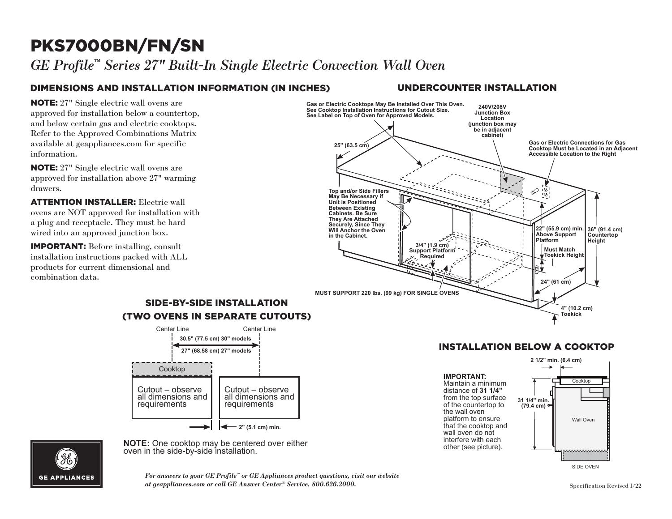## PKS7000BN/FN/SN

*GE Profile™ Series 27" Built-In Single Electric Convection Wall Oven*

## DIMENSIONS AND INSTALLATION INFORMATION (IN INCHES) UNDERCOUNTER INSTALLATION

**NOTE:** 27" Single electric wall ovens are approved for installation below a countertop, and below certain gas and electric cooktops. Refer to the Approved Combinations Matrix available at geappliances.com for specific information.

NOTE: 27" Single electric wall ovens are approved for installation above 27" warming drawers. **Top and/or Side Fillers** 

**ATTENTION INSTALLER:** Electric wall **CONSIDER AND IS CONSIDERED** MALE OVERSIDE MELTIC OPEN DISPONSIBLE ON A SURFACE AND NOTE AT A SURFACE SURFACE AND NOTE AT A SURFACE AND NOTE AT A SURFACE AND NOTE AT A SURFACE AND NOTE AT A SURFACE AND NOTE AT A SURFACE AN a plug and receptacle. They must be hard wired into an approved junction box.

IMPORTANT: Before installing, consult installation instructions packed with ALL products for current dimensional and combination data.



### (TWO OVENS IN SEPARATE CUTOUTS) Center Line Center Line SIDE-BY-SIDE INSTALLATION



**Note:**  $\frac{1}{2}$  contribution. **NOTE:** One cooktop may be centered over either oven in the side-by-side installation.

#### INSTALLATION BELOW A COOKTOP Cooktop

Maintain a minimum  $\uparrow$ distance of 31 1/4" from the top surface  $\frac{31.1}{4}$  mi platform to ensure that the cooktop and of the countertop to **IMPORTANT:**  the wall oven wall oven do not interfere with each other (see picture).





For answers to your GE Profile™ or GE Appliances product questions, visit our website<br>at geappliances com or call GE Apswer Center® Service–800 696 9000 *at geappliances.com or call GE Answer Center® Service, 800.626.2000.*